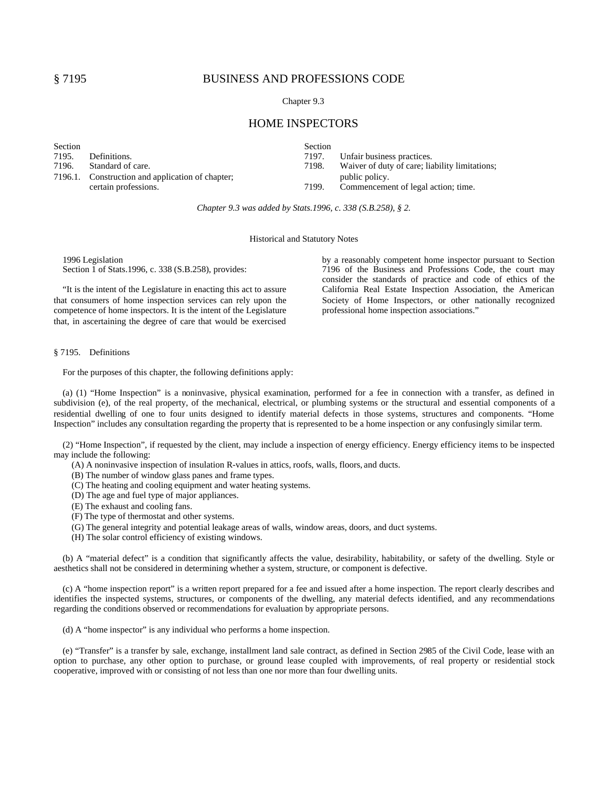# § 7195 BUSINESS AND PROFESSIONS CODE

### Chapter 9.3

## HOME INSPECTORS

| Section |                                                  | Section |                                                |
|---------|--------------------------------------------------|---------|------------------------------------------------|
| 7195.   | Definitions.                                     | 7197.   | Unfair business practices.                     |
|         | 7196. Standard of care.                          | 7198.   | Waiver of duty of care; liability limitations; |
|         | 7196.1. Construction and application of chapter; |         | public policy.                                 |
|         | certain professions.                             | 7199.   | Commencement of legal action; time.            |

*Chapter 9.3 was added by Stats.1996, c. 338 (S.B.258), § 2.*

Historical and Statutory Notes

1996 Legislation Section 1 of Stats.1996, c. 338 (S.B.258), provides:

"It is the intent of the Legislature in enacting this act to assure that consumers of home inspection services can rely upon the competence of home inspectors. It is the intent of the Legislature that, in ascertaining the degree of care that would be exercised by a reasonably competent home inspector pursuant to Section 7196 of the Business and Professions Code, the court may consider the standards of practice and code of ethics of the California Real Estate Inspection Association, the American Society of Home Inspectors, or other nationally recognized professional home inspection associations."

## § 7195. Definitions

For the purposes of this chapter, the following definitions apply:

(a) (1) "Home Inspection" is a noninvasive, physical examination, performed for a fee in connection with a transfer, as defined in subdivision (e), of the real property, of the mechanical, electrical, or plumbing systems or the structural and essential components of a residential dwelling of one to four units designed to identify material defects in those systems, structures and components. "Home Inspection" includes any consultation regarding the property that is represented to be a home inspection or any confusingly similar term.

(2) "Home Inspection", if requested by the client, may include a inspection of energy efficiency. Energy efficiency items to be inspected may include the following:

- (A) A noninvasive inspection of insulation R-values in attics, roofs, walls, floors, and ducts.
- (B) The number of window glass panes and frame types.
- (C) The heating and cooling equipment and water heating systems.
- (D) The age and fuel type of major appliances.
- (E) The exhaust and cooling fans.
- (F) The type of thermostat and other systems.
- (G) The general integrity and potential leakage areas of walls, window areas, doors, and duct systems.
- (H) The solar control efficiency of existing windows.

(b) A "material defect" is a condition that significantly affects the value, desirability, habitability, or safety of the dwelling. Style or aesthetics shall not be considered in determining whether a system, structure, or component is defective.

(c) A "home inspection report" is a written report prepared for a fee and issued after a home inspection. The report clearly describes and identifies the inspected systems, structures, or components of the dwelling, any material defects identified, and any recommendations regarding the conditions observed or recommendations for evaluation by appropriate persons.

(d) A "home inspector" is any individual who performs a home inspection.

(e) "Transfer" is a transfer by sale, exchange, installment land sale contract, as defined in Section 2985 of the Civil Code, lease with an option to purchase, any other option to purchase, or ground lease coupled with improvements, of real property or residential stock cooperative, improved with or consisting of not less than one nor more than four dwelling units.